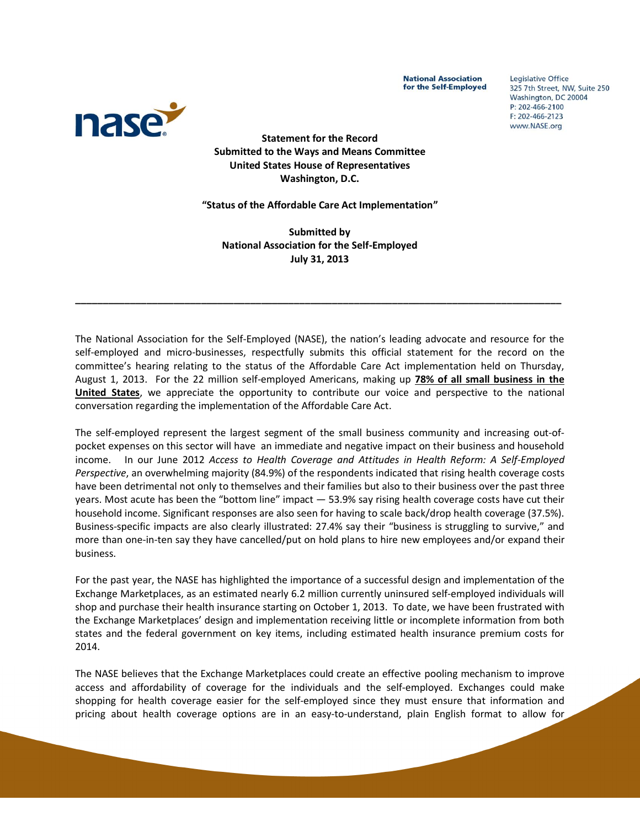**National Association** for the Self-Employed Legislative Office 325 7th Street, NW, Suite 250 Washington, DC 20004 P: 202-466-2100  $F: 202 - 466 - 2123$ www.NASE.org



**Statement for the Record Submitted to the Ways and Means Committee United States House of Representatives Washington, D.C.**

**"Status of the Affordable Care Act Implementation"**

**Submitted by National Association for the Self-Employed July 31, 2013**

**\_\_\_\_\_\_\_\_\_\_\_\_\_\_\_\_\_\_\_\_\_\_\_\_\_\_\_\_\_\_\_\_\_\_\_\_\_\_\_\_\_\_\_\_\_\_\_\_\_\_\_\_\_\_\_\_\_\_\_\_\_\_\_\_\_\_\_\_\_\_\_\_\_\_\_\_\_\_\_\_\_\_\_\_\_\_\_\_\_**

The National Association for the Self-Employed (NASE), the nation's leading advocate and resource for the self-employed and micro-businesses, respectfully submits this official statement for the record on the committee's hearing relating to the status of the Affordable Care Act implementation held on Thursday, August 1, 2013. For the 22 million self-employed Americans, making up **78% of all small business in the United States**, we appreciate the opportunity to contribute our voice and perspective to the national conversation regarding the implementation of the Affordable Care Act.

The self-employed represent the largest segment of the small business community and increasing out-ofpocket expenses on this sector will have an immediate and negative impact on their business and household income. In our June 2012 *Access to Health Coverage and Attitudes in Health Reform: A Self-Employed Perspective*, an overwhelming majority (84.9%) of the respondents indicated that rising health coverage costs have been detrimental not only to themselves and their families but also to their business over the past three years. Most acute has been the "bottom line" impact — 53.9% say rising health coverage costs have cut their household income. Significant responses are also seen for having to scale back/drop health coverage (37.5%). Business-specific impacts are also clearly illustrated: 27.4% say their "business is struggling to survive," and more than one-in-ten say they have cancelled/put on hold plans to hire new employees and/or expand their business.

For the past year, the NASE has highlighted the importance of a successful design and implementation of the Exchange Marketplaces, as an estimated nearly 6.2 million currently uninsured self-employed individuals will shop and purchase their health insurance starting on October 1, 2013. To date, we have been frustrated with the Exchange Marketplaces' design and implementation receiving little or incomplete information from both states and the federal government on key items, including estimated health insurance premium costs for 2014.

The NASE believes that the Exchange Marketplaces could create an effective pooling mechanism to improve access and affordability of coverage for the individuals and the self-employed. Exchanges could make shopping for health coverage easier for the self-employed since they must ensure that information and pricing about health coverage options are in an easy‐to‐understand, plain English format to allow for